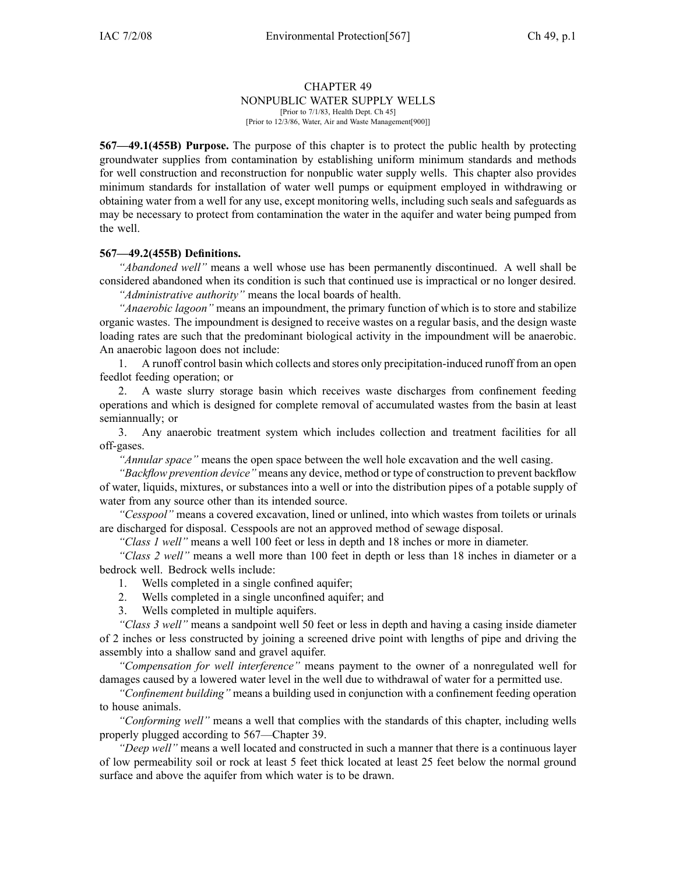#### CHAPTER 49

NONPUBLIC WATER SUPPLY WELLS

[Prior to 7/1/83, Health Dept. Ch 45] [Prior to 12/3/86, Water, Air and Waste Management[900]]

**567—49.1(455B) Purpose.** The purpose of this chapter is to protect the public health by protecting groundwater supplies from contamination by establishing uniform minimum standards and methods for well construction and reconstruction for nonpublic water supply wells. This chapter also provides minimum standards for installation of water well pumps or equipment employed in withdrawing or obtaining water from <sup>a</sup> well for any use, excep<sup>t</sup> monitoring wells, including such seals and safeguards as may be necessary to protect from contamination the water in the aquifer and water being pumped from the well.

#### **567—49.2(455B) Definitions.**

*"Abandoned well"* means <sup>a</sup> well whose use has been permanently discontinued. A well shall be considered abandoned when its condition is such that continued use is impractical or no longer desired.

*"Administrative authority"* means the local boards of health.

*"Anaerobic lagoon"* means an impoundment, the primary function of which is to store and stabilize organic wastes. The impoundment is designed to receive wastes on <sup>a</sup> regular basis, and the design waste loading rates are such that the predominant biological activity in the impoundment will be anaerobic. An anaerobic lagoon does not include:

1. A runoff control basin which collects and stores only precipitation-induced runoff from an open feedlot feeding operation; or

2. A waste slurry storage basin which receives waste discharges from confinement feeding operations and which is designed for complete removal of accumulated wastes from the basin at least semiannually; or

3. Any anaerobic treatment system which includes collection and treatment facilities for all off-gases.

*"Annular space"* means the open space between the well hole excavation and the well casing.

*"Backflow prevention device"* means any device, method or type of construction to preven<sup>t</sup> backflow of water, liquids, mixtures, or substances into <sup>a</sup> well or into the distribution pipes of <sup>a</sup> potable supply of water from any source other than its intended source.

*"Cesspool"* means <sup>a</sup> covered excavation, lined or unlined, into which wastes from toilets or urinals are discharged for disposal. Cesspools are not an approved method of sewage disposal.

*"Class 1 well"* means <sup>a</sup> well 100 feet or less in depth and 18 inches or more in diameter.

*"Class 2 well"* means <sup>a</sup> well more than 100 feet in depth or less than 18 inches in diameter or <sup>a</sup> bedrock well. Bedrock wells include:

- 1. Wells completed in <sup>a</sup> single confined aquifer;
- 2. Wells completed in <sup>a</sup> single unconfined aquifer; and
- 3. Wells completed in multiple aquifers.

*"Class 3 well"* means <sup>a</sup> sandpoint well 50 feet or less in depth and having <sup>a</sup> casing inside diameter of 2 inches or less constructed by joining <sup>a</sup> screened drive point with lengths of pipe and driving the assembly into <sup>a</sup> shallow sand and gravel aquifer.

*"Compensation for well interference"* means paymen<sup>t</sup> to the owner of <sup>a</sup> nonregulated well for damages caused by <sup>a</sup> lowered water level in the well due to withdrawal of water for <sup>a</sup> permitted use.

*"Confinement building"* means <sup>a</sup> building used in conjunction with <sup>a</sup> confinement feeding operation to house animals.

*"Conforming well"* means <sup>a</sup> well that complies with the standards of this chapter, including wells properly plugged according to 567—Chapter 39.

*"Deep well"* means <sup>a</sup> well located and constructed in such <sup>a</sup> manner that there is <sup>a</sup> continuous layer of low permeability soil or rock at least 5 feet thick located at least 25 feet below the normal ground surface and above the aquifer from which water is to be drawn.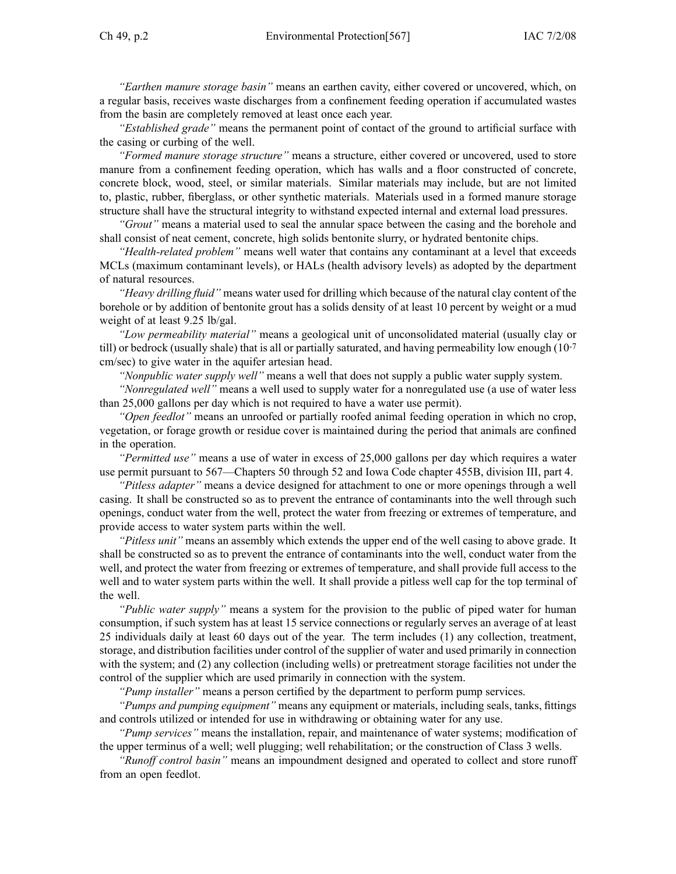*"Earthen manure storage basin"* means an earthen cavity, either covered or uncovered, which, on <sup>a</sup> regular basis, receives waste discharges from <sup>a</sup> confinement feeding operation if accumulated wastes from the basin are completely removed at least once each year.

*"Established grade"* means the permanen<sup>t</sup> point of contact of the ground to artificial surface with the casing or curbing of the well.

*"Formed manure storage structure"* means <sup>a</sup> structure, either covered or uncovered, used to store manure from <sup>a</sup> confinement feeding operation, which has walls and <sup>a</sup> floor constructed of concrete, concrete block, wood, steel, or similar materials. Similar materials may include, but are not limited to, plastic, rubber, fiberglass, or other synthetic materials. Materials used in <sup>a</sup> formed manure storage structure shall have the structural integrity to withstand expected internal and external load pressures.

*"Grout"* means <sup>a</sup> material used to seal the annular space between the casing and the borehole and shall consist of neat cement, concrete, high solids bentonite slurry, or hydrated bentonite chips.

*"Health-related problem"* means well water that contains any contaminant at <sup>a</sup> level that exceeds MCLs (maximum contaminant levels), or HALs (health advisory levels) as adopted by the department of natural resources.

*"Heavy drilling fluid"* means water used for drilling which because of the natural clay content of the borehole or by addition of bentonite grou<sup>t</sup> has <sup>a</sup> solids density of at least 10 percen<sup>t</sup> by weight or <sup>a</sup> mud weight of at least 9.25 lb/gal.

*"Low permeability material"* means <sup>a</sup> geological unit of unconsolidated material (usually clay or till) or bedrock (usually shale) that is all or partially saturated, and having permeability low enough (10-7 cm/sec) to give water in the aquifer artesian head.

*"Nonpublic water supply well"* means <sup>a</sup> well that does not supply <sup>a</sup> public water supply system.

*"Nonregulated well"* means <sup>a</sup> well used to supply water for <sup>a</sup> nonregulated use (a use of water less than 25,000 gallons per day which is not required to have <sup>a</sup> water use permit).

*"Open feedlot"* means an unroofed or partially roofed animal feeding operation in which no crop, vegetation, or forage growth or residue cover is maintained during the period that animals are confined in the operation.

*"Permitted use"* means <sup>a</sup> use of water in excess of 25,000 gallons per day which requires <sup>a</sup> water use permit pursuan<sup>t</sup> to 567—Chapters 50 through 52 and Iowa Code chapter 455B, division III, par<sup>t</sup> 4.

*"Pitless adapter"* means <sup>a</sup> device designed for attachment to one or more openings through <sup>a</sup> well casing. It shall be constructed so as to preven<sup>t</sup> the entrance of contaminants into the well through such openings, conduct water from the well, protect the water from freezing or extremes of temperature, and provide access to water system parts within the well.

*"Pitless unit"* means an assembly which extends the upper end of the well casing to above grade. It shall be constructed so as to preven<sup>t</sup> the entrance of contaminants into the well, conduct water from the well, and protect the water from freezing or extremes of temperature, and shall provide full access to the well and to water system parts within the well. It shall provide <sup>a</sup> pitless well cap for the top terminal of the well.

*"Public water supply"* means <sup>a</sup> system for the provision to the public of piped water for human consumption, if such system has at least 15 service connections or regularly serves an average of at least 25 individuals daily at least 60 days out of the year. The term includes (1) any collection, treatment, storage, and distribution facilities under control of the supplier of water and used primarily in connection with the system; and (2) any collection (including wells) or pretreatment storage facilities not under the control of the supplier which are used primarily in connection with the system.

*"Pump installer"* means <sup>a</sup> person certified by the department to perform pump services.

*"Pumps and pumping equipment"* means any equipment or materials, including seals, tanks, fittings and controls utilized or intended for use in withdrawing or obtaining water for any use.

*"Pump services"* means the installation, repair, and maintenance of water systems; modification of the upper terminus of <sup>a</sup> well; well plugging; well rehabilitation; or the construction of Class 3 wells.

*"Runoff control basin"* means an impoundment designed and operated to collect and store runoff from an open feedlot.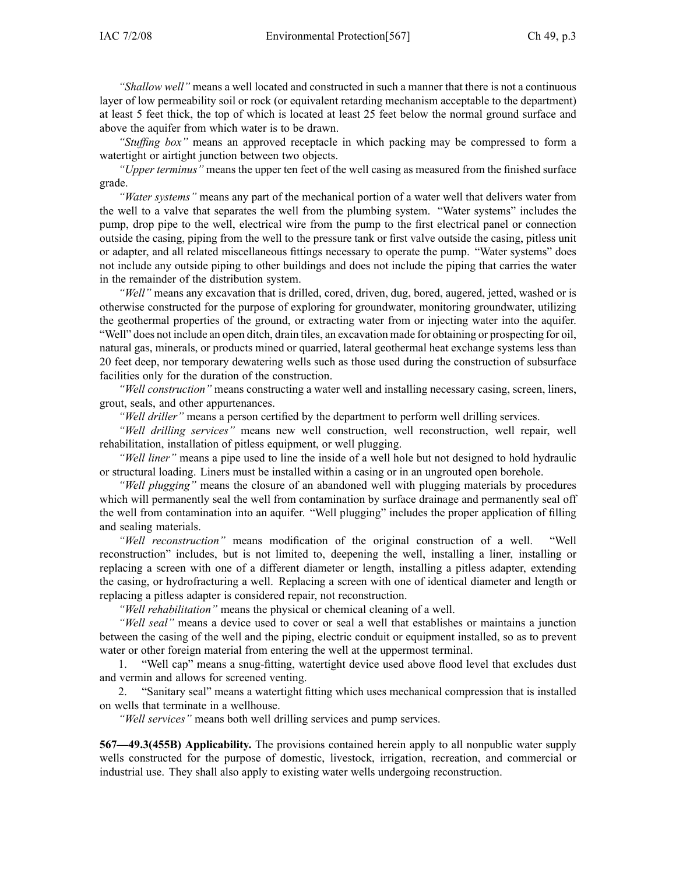*"Shallow well"* means <sup>a</sup> well located and constructed in such <sup>a</sup> manner that there is not <sup>a</sup> continuous layer of low permeability soil or rock (or equivalent retarding mechanism acceptable to the department) at least 5 feet thick, the top of which is located at least 25 feet below the normal ground surface and above the aquifer from which water is to be drawn.

*"Stuffing box"* means an approved receptacle in which packing may be compressed to form <sup>a</sup> watertight or airtight junction between two objects.

*"Upper terminus"* means the upper ten feet of the well casing as measured from the finished surface grade.

*"Water systems"* means any par<sup>t</sup> of the mechanical portion of <sup>a</sup> water well that delivers water from the well to <sup>a</sup> valve that separates the well from the plumbing system. "Water systems" includes the pump, drop pipe to the well, electrical wire from the pump to the first electrical panel or connection outside the casing, piping from the well to the pressure tank or first valve outside the casing, pitless unit or adapter, and all related miscellaneous fittings necessary to operate the pump. "Water systems" does not include any outside piping to other buildings and does not include the piping that carries the water in the remainder of the distribution system.

*"Well"* means any excavation that is drilled, cored, driven, dug, bored, augered, jetted, washed or is otherwise constructed for the purpose of exploring for groundwater, monitoring groundwater, utilizing the geothermal properties of the ground, or extracting water from or injecting water into the aquifer. "Well" does not include an open ditch, drain tiles, an excavation made for obtaining or prospecting for oil, natural gas, minerals, or products mined or quarried, lateral geothermal heat exchange systems less than 20 feet deep, nor temporary dewatering wells such as those used during the construction of subsurface facilities only for the duration of the construction.

*"Well construction"* means constructing <sup>a</sup> water well and installing necessary casing, screen, liners, grout, seals, and other appurtenances.

*"Well driller"* means <sup>a</sup> person certified by the department to perform well drilling services.

*"Well drilling services"* means new well construction, well reconstruction, well repair, well rehabilitation, installation of pitless equipment, or well plugging.

*"Well liner"* means <sup>a</sup> pipe used to line the inside of <sup>a</sup> well hole but not designed to hold hydraulic or structural loading. Liners must be installed within <sup>a</sup> casing or in an ungrouted open borehole.

*"Well plugging"* means the closure of an abandoned well with plugging materials by procedures which will permanently seal the well from contamination by surface drainage and permanently seal off the well from contamination into an aquifer. "Well plugging" includes the proper application of filling and sealing materials.

*"Well reconstruction"* means modification of the original construction of <sup>a</sup> well. "Well reconstruction" includes, but is not limited to, deepening the well, installing <sup>a</sup> liner, installing or replacing <sup>a</sup> screen with one of <sup>a</sup> different diameter or length, installing <sup>a</sup> pitless adapter, extending the casing, or hydrofracturing <sup>a</sup> well. Replacing <sup>a</sup> screen with one of identical diameter and length or replacing <sup>a</sup> pitless adapter is considered repair, not reconstruction.

*"Well rehabilitation"* means the physical or chemical cleaning of <sup>a</sup> well.

*"Well seal"* means <sup>a</sup> device used to cover or seal <sup>a</sup> well that establishes or maintains <sup>a</sup> junction between the casing of the well and the piping, electric conduit or equipment installed, so as to preven<sup>t</sup> water or other foreign material from entering the well at the uppermos<sup>t</sup> terminal.

1. "Well cap" means <sup>a</sup> snug-fitting, watertight device used above flood level that excludes dust and vermin and allows for screened venting.

2. "Sanitary seal" means <sup>a</sup> watertight fitting which uses mechanical compression that is installed on wells that terminate in <sup>a</sup> wellhouse.

*"Well services"* means both well drilling services and pump services.

**567—49.3(455B) Applicability.** The provisions contained herein apply to all nonpublic water supply wells constructed for the purpose of domestic, livestock, irrigation, recreation, and commercial or industrial use. They shall also apply to existing water wells undergoing reconstruction.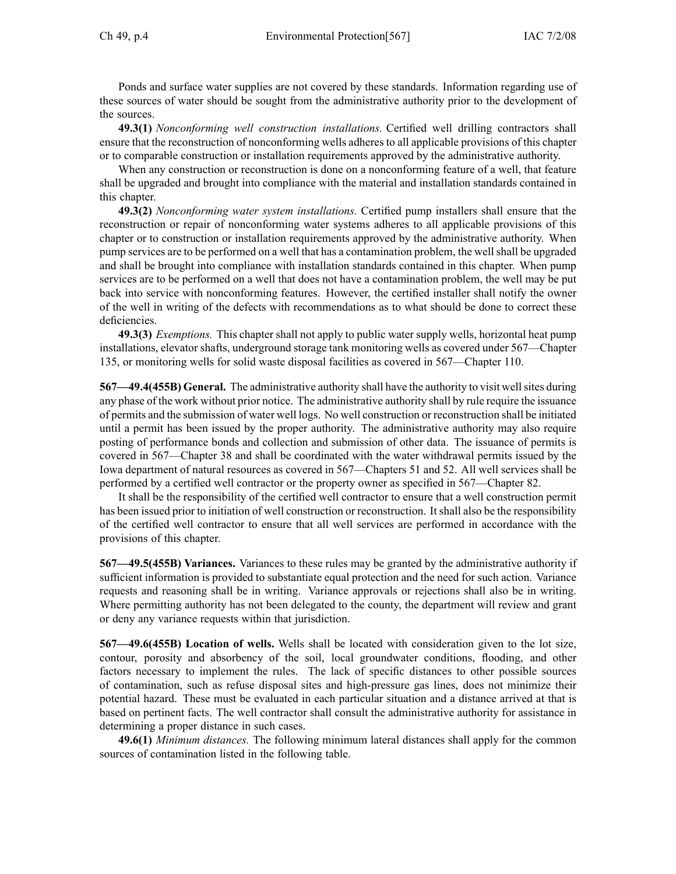Ponds and surface water supplies are not covered by these standards. Information regarding use of these sources of water should be sought from the administrative authority prior to the development of the sources.

**49.3(1)** *Nonconforming well construction installations.* Certified well drilling contractors shall ensure that the reconstruction of nonconforming wells adheres to all applicable provisions of this chapter or to comparable construction or installation requirements approved by the administrative authority.

When any construction or reconstruction is done on a nonconforming feature of a well, that feature shall be upgraded and brought into compliance with the material and installation standards contained in this chapter.

**49.3(2)** *Nonconforming water system installations.* Certified pump installers shall ensure that the reconstruction or repair of nonconforming water systems adheres to all applicable provisions of this chapter or to construction or installation requirements approved by the administrative authority. When pump services are to be performed on <sup>a</sup> well that has <sup>a</sup> contamination problem, the wellshall be upgraded and shall be brought into compliance with installation standards contained in this chapter. When pump services are to be performed on <sup>a</sup> well that does not have <sup>a</sup> contamination problem, the well may be pu<sup>t</sup> back into service with nonconforming features. However, the certified installer shall notify the owner of the well in writing of the defects with recommendations as to what should be done to correct these deficiencies.

**49.3(3)** *Exemptions.* This chapter shall not apply to public water supply wells, horizontal heat pump installations, elevator shafts, underground storage tank monitoring wells as covered under 567—Chapter 135, or monitoring wells for solid waste disposal facilities as covered in 567—Chapter 110.

**567—49.4(455B)** General. The administrative authority shall have the authority to visit well sites during any phase of the work without prior notice. The administrative authority shall by rule require the issuance of permits and the submission of water well logs. No well construction or reconstruction shall be initiated until <sup>a</sup> permit has been issued by the proper authority. The administrative authority may also require posting of performance bonds and collection and submission of other data. The issuance of permits is covered in 567—Chapter 38 and shall be coordinated with the water withdrawal permits issued by the Iowa department of natural resources as covered in 567—Chapters 51 and 52. All well services shall be performed by <sup>a</sup> certified well contractor or the property owner as specified in 567—Chapter 82.

It shall be the responsibility of the certified well contractor to ensure that <sup>a</sup> well construction permit has been issued prior to initiation of well construction or reconstruction. Itshall also be the responsibility of the certified well contractor to ensure that all well services are performed in accordance with the provisions of this chapter.

**567—49.5(455B) Variances.** Variances to these rules may be granted by the administrative authority if sufficient information is provided to substantiate equal protection and the need for such action. Variance requests and reasoning shall be in writing. Variance approvals or rejections shall also be in writing. Where permitting authority has not been delegated to the county, the department will review and gran<sup>t</sup> or deny any variance requests within that jurisdiction.

**567—49.6(455B) Location of wells.** Wells shall be located with consideration given to the lot size, contour, porosity and absorbency of the soil, local groundwater conditions, flooding, and other factors necessary to implement the rules. The lack of specific distances to other possible sources of contamination, such as refuse disposal sites and high-pressure gas lines, does not minimize their potential hazard. These must be evaluated in each particular situation and <sup>a</sup> distance arrived at that is based on pertinent facts. The well contractor shall consult the administrative authority for assistance in determining <sup>a</sup> proper distance in such cases.

**49.6(1)** *Minimum distances.* The following minimum lateral distances shall apply for the common sources of contamination listed in the following table.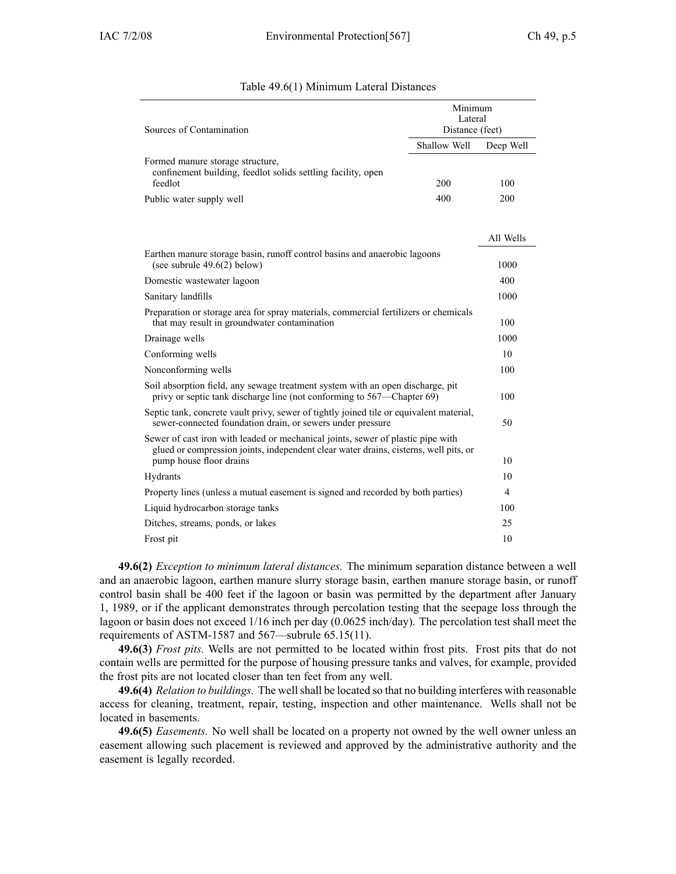| Sources of Contamination<br>Distance (feet)<br>Shallow Well<br>Deep Well<br>Formed manure storage structure,                                                                                             |  |
|----------------------------------------------------------------------------------------------------------------------------------------------------------------------------------------------------------|--|
|                                                                                                                                                                                                          |  |
|                                                                                                                                                                                                          |  |
| confinement building, feedlot solids settling facility, open<br>feedlot<br>200<br>100                                                                                                                    |  |
| 400<br>200<br>Public water supply well                                                                                                                                                                   |  |
|                                                                                                                                                                                                          |  |
| All Wells                                                                                                                                                                                                |  |
| Earthen manure storage basin, runoff control basins and anaerobic lagoons                                                                                                                                |  |
| (see subrule $49.6(2)$ below)<br>1000                                                                                                                                                                    |  |
| 400<br>Domestic wastewater lagoon                                                                                                                                                                        |  |
| Sanitary landfills<br>1000                                                                                                                                                                               |  |
| Preparation or storage area for spray materials, commercial fertilizers or chemicals<br>that may result in groundwater contamination<br>100                                                              |  |
| 1000<br>Drainage wells                                                                                                                                                                                   |  |
| 10<br>Conforming wells                                                                                                                                                                                   |  |
| Nonconforming wells<br>100                                                                                                                                                                               |  |
| Soil absorption field, any sewage treatment system with an open discharge, pit<br>privy or septic tank discharge line (not conforming to 567—Chapter 69)<br>100                                          |  |
| Septic tank, concrete vault privy, sewer of tightly joined tile or equivalent material,<br>sewer-connected foundation drain, or sewers under pressure<br>50                                              |  |
| Sewer of cast iron with leaded or mechanical joints, sewer of plastic pipe with<br>glued or compression joints, independent clear water drains, cisterns, well pits, or<br>pump house floor drains<br>10 |  |
| 10<br>Hydrants                                                                                                                                                                                           |  |
| Property lines (unless a mutual easement is signed and recorded by both parties)<br>4                                                                                                                    |  |
| Liquid hydrocarbon storage tanks<br>100                                                                                                                                                                  |  |
| 25<br>Ditches, streams, ponds, or lakes                                                                                                                                                                  |  |
| 10<br>Frost pit                                                                                                                                                                                          |  |

#### Table 49.6(1) Minimum Lateral Distances

**49.6(2)** *Exception to minimum lateral distances.* The minimum separation distance between <sup>a</sup> well and an anaerobic lagoon, earthen manure slurry storage basin, earthen manure storage basin, or runoff control basin shall be 400 feet if the lagoon or basin was permitted by the department after January 1, 1989, or if the applicant demonstrates through percolation testing that the seepage loss through the lagoon or basin does not exceed 1/16 inch per day (0.0625 inch/day). The percolation test shall meet the requirements of ASTM-1587 and 567—subrule 65.15(11).

**49.6(3)** *Frost pits.* Wells are not permitted to be located within frost pits. Frost pits that do not contain wells are permitted for the purpose of housing pressure tanks and valves, for example, provided the frost pits are not located closer than ten feet from any well.

**49.6(4)** *Relation to buildings.* The wellshall be located so that no building interferes with reasonable access for cleaning, treatment, repair, testing, inspection and other maintenance. Wells shall not be located in basements.

**49.6(5)** *Easements.* No well shall be located on <sup>a</sup> property not owned by the well owner unless an easement allowing such placement is reviewed and approved by the administrative authority and the easement is legally recorded.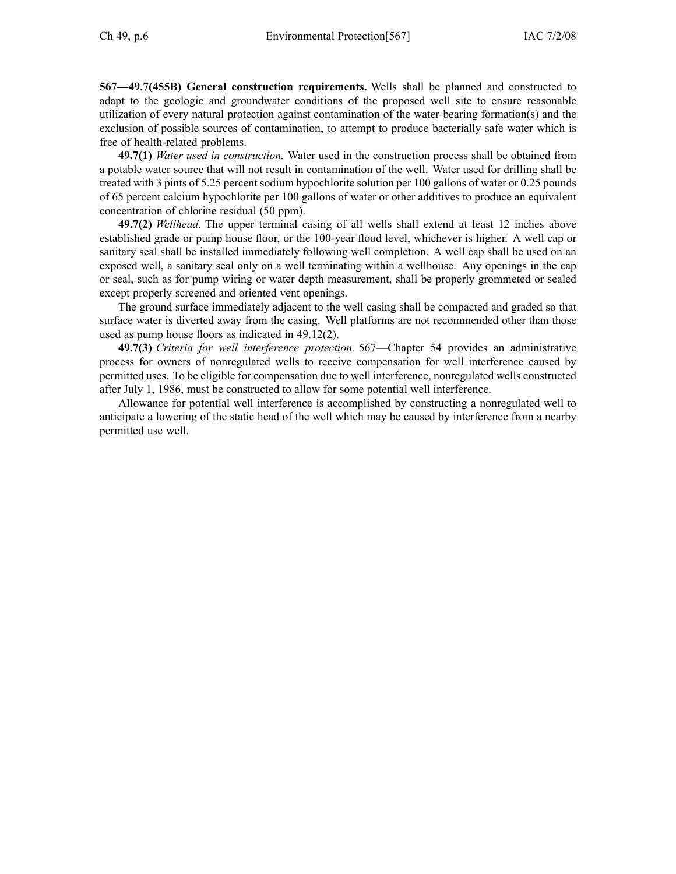**567—49.7(455B) General construction requirements.** Wells shall be planned and constructed to adapt to the geologic and groundwater conditions of the proposed well site to ensure reasonable utilization of every natural protection against contamination of the water-bearing formation(s) and the exclusion of possible sources of contamination, to attempt to produce bacterially safe water which is free of health-related problems.

**49.7(1)** *Water used in construction.* Water used in the construction process shall be obtained from <sup>a</sup> potable water source that will not result in contamination of the well. Water used for drilling shall be treated with 3 pints of 5.25 percen<sup>t</sup> sodium hypochlorite solution per 100 gallons of water or 0.25 pounds of 65 percen<sup>t</sup> calcium hypochlorite per 100 gallons of water or other additives to produce an equivalent concentration of chlorine residual (50 ppm).

**49.7(2)** *Wellhead.* The upper terminal casing of all wells shall extend at least 12 inches above established grade or pump house floor, or the 100-year flood level, whichever is higher. A well cap or sanitary seal shall be installed immediately following well completion. A well cap shall be used on an exposed well, <sup>a</sup> sanitary seal only on <sup>a</sup> well terminating within <sup>a</sup> wellhouse. Any openings in the cap or seal, such as for pump wiring or water depth measurement, shall be properly grommeted or sealed excep<sup>t</sup> properly screened and oriented vent openings.

The ground surface immediately adjacent to the well casing shall be compacted and graded so that surface water is diverted away from the casing. Well platforms are not recommended other than those used as pump house floors as indicated in 49.12(2).

**49.7(3)** *Criteria for well interference protection.* 567—Chapter 54 provides an administrative process for owners of nonregulated wells to receive compensation for well interference caused by permitted uses. To be eligible for compensation due to well interference, nonregulated wells constructed after July 1, 1986, must be constructed to allow for some potential well interference.

Allowance for potential well interference is accomplished by constructing <sup>a</sup> nonregulated well to anticipate <sup>a</sup> lowering of the static head of the well which may be caused by interference from <sup>a</sup> nearby permitted use well.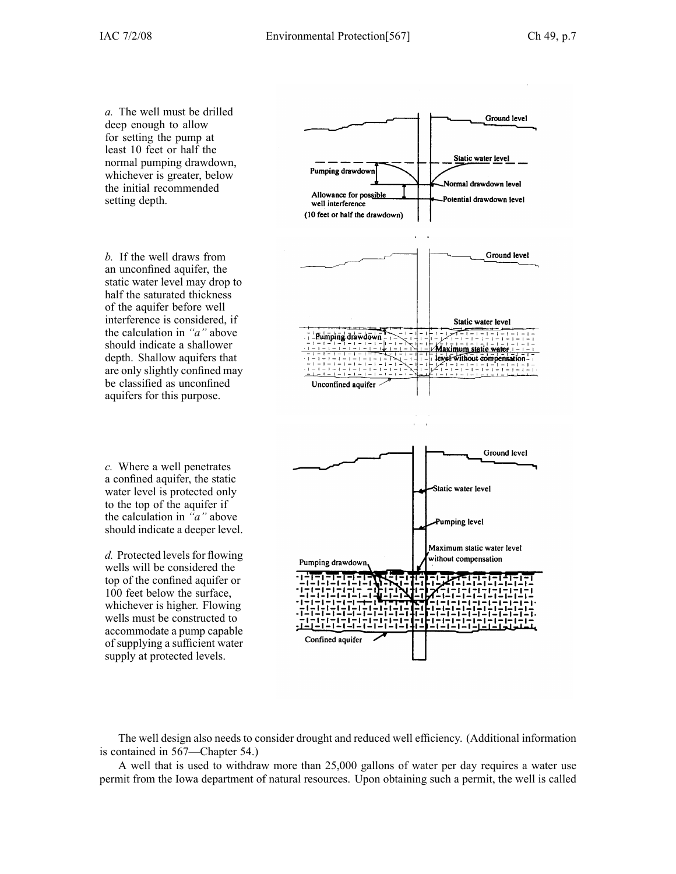*a.* The well must be drilled deep enough to allow for setting the pump at least 10 feet or half the normal pumping drawdown, whichever is greater, below the initial recommended setting depth.

*b.* If the well draws from an unconfined aquifer, the static water level may drop to half the saturated thickness of the aquifer before well interference is considered, if the calculation in *"a"* above should indicate <sup>a</sup> shallower depth. Shallow aquifers that are only slightly confined may be classified as unconfined aquifers for this purpose.

*c.* Where <sup>a</sup> well penetrates <sup>a</sup> confined aquifer, the static water level is protected only to the top of the aquifer if the calculation in *"a"* above should indicate <sup>a</sup> deeper level.

*d.* Protected levels for flowing wells will be considered the top of the confined aquifer or 100 feet below the surface, whichever is higher. Flowing wells must be constructed to accommodate <sup>a</sup> pump capable of supplying <sup>a</sup> sufficient water supply at protected levels.



The well design also needs to consider drought and reduced well efficiency. (Additional information is contained in 567—Chapter 54.)

A well that is used to withdraw more than 25,000 gallons of water per day requires <sup>a</sup> water use permit from the Iowa department of natural resources. Upon obtaining such <sup>a</sup> permit, the well is called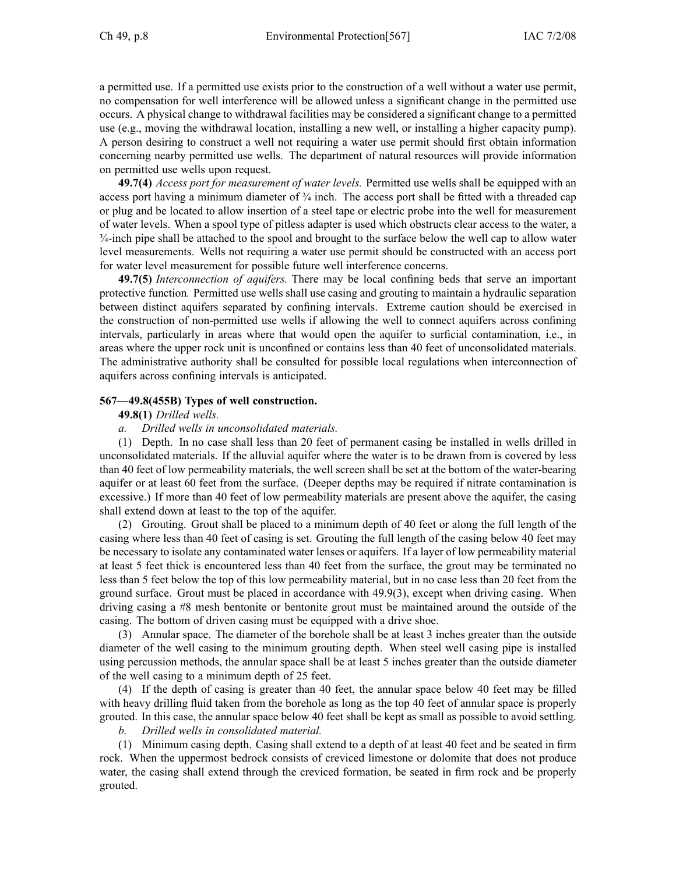<sup>a</sup> permitted use. If <sup>a</sup> permitted use exists prior to the construction of <sup>a</sup> well without <sup>a</sup> water use permit, no compensation for well interference will be allowed unless <sup>a</sup> significant change in the permitted use occurs. A physical change to withdrawal facilities may be considered <sup>a</sup> significant change to <sup>a</sup> permitted use (e.g., moving the withdrawal location, installing <sup>a</sup> new well, or installing <sup>a</sup> higher capacity pump). A person desiring to construct <sup>a</sup> well not requiring <sup>a</sup> water use permit should first obtain information concerning nearby permitted use wells. The department of natural resources will provide information on permitted use wells upon request.

**49.7(4)** *Access por<sup>t</sup> for measurement of water levels.* Permitted use wells shall be equipped with an access port having a minimum diameter of  $\frac{3}{4}$  inch. The access port shall be fitted with a threaded cap or plug and be located to allow insertion of <sup>a</sup> steel tape or electric probe into the well for measurement of water levels. When <sup>a</sup> spool type of pitless adapter is used which obstructs clear access to the water, <sup>a</sup>  $\frac{3}{4}$ -inch pipe shall be attached to the spool and brought to the surface below the well cap to allow water level measurements. Wells not requiring <sup>a</sup> water use permit should be constructed with an access por<sup>t</sup> for water level measurement for possible future well interference concerns.

**49.7(5)** *Interconnection of aquifers.* There may be local confining beds that serve an important protective function*.* Permitted use wells shall use casing and grouting to maintain <sup>a</sup> hydraulic separation between distinct aquifers separated by confining intervals. Extreme caution should be exercised in the construction of non-permitted use wells if allowing the well to connect aquifers across confining intervals, particularly in areas where that would open the aquifer to surficial contamination, i.e., in areas where the upper rock unit is unconfined or contains less than 40 feet of unconsolidated materials. The administrative authority shall be consulted for possible local regulations when interconnection of aquifers across confining intervals is anticipated.

#### **567—49.8(455B) Types of well construction.**

#### **49.8(1)** *Drilled wells.*

#### *a. Drilled wells in unconsolidated materials.*

(1) Depth. In no case shall less than 20 feet of permanen<sup>t</sup> casing be installed in wells drilled in unconsolidated materials. If the alluvial aquifer where the water is to be drawn from is covered by less than 40 feet of low permeability materials, the well screen shall be set at the bottom of the water-bearing aquifer or at least 60 feet from the surface. (Deeper depths may be required if nitrate contamination is excessive.) If more than 40 feet of low permeability materials are presen<sup>t</sup> above the aquifer, the casing shall extend down at least to the top of the aquifer.

(2) Grouting. Grout shall be placed to <sup>a</sup> minimum depth of 40 feet or along the full length of the casing where less than 40 feet of casing is set. Grouting the full length of the casing below 40 feet may be necessary to isolate any contaminated water lenses or aquifers. If <sup>a</sup> layer of low permeability material at least 5 feet thick is encountered less than 40 feet from the surface, the grou<sup>t</sup> may be terminated no less than 5 feet below the top of this low permeability material, but in no case less than 20 feet from the ground surface. Grout must be placed in accordance with 49.9(3), excep<sup>t</sup> when driving casing. When driving casing <sup>a</sup> #8 mesh bentonite or bentonite grou<sup>t</sup> must be maintained around the outside of the casing. The bottom of driven casing must be equipped with <sup>a</sup> drive shoe.

(3) Annular space. The diameter of the borehole shall be at least 3 inches greater than the outside diameter of the well casing to the minimum grouting depth. When steel well casing pipe is installed using percussion methods, the annular space shall be at least 5 inches greater than the outside diameter of the well casing to <sup>a</sup> minimum depth of 25 feet.

(4) If the depth of casing is greater than 40 feet, the annular space below 40 feet may be filled with heavy drilling fluid taken from the borehole as long as the top 40 feet of annular space is properly grouted. In this case, the annular space below 40 feet shall be kept as small as possible to avoid settling.

*b. Drilled wells in consolidated material.*

(1) Minimum casing depth. Casing shall extend to <sup>a</sup> depth of at least 40 feet and be seated in firm rock. When the uppermos<sup>t</sup> bedrock consists of creviced limestone or dolomite that does not produce water, the casing shall extend through the creviced formation, be seated in firm rock and be properly grouted.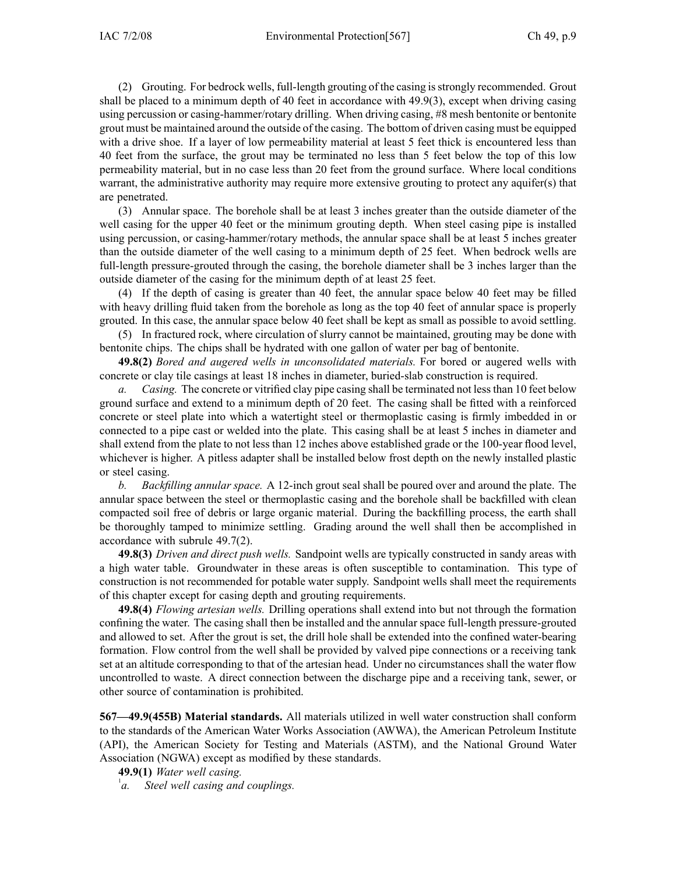(2) Grouting. For bedrock wells, full-length grouting of the casing isstrongly recommended. Grout shall be placed to <sup>a</sup> minimum depth of 40 feet in accordance with 49.9(3), excep<sup>t</sup> when driving casing using percussion or casing-hammer/rotary drilling. When driving casing, #8 mesh bentonite or bentonite grou<sup>t</sup> must be maintained around the outside of the casing. The bottom of driven casing must be equipped with a drive shoe. If a layer of low permeability material at least 5 feet thick is encountered less than 40 feet from the surface, the grou<sup>t</sup> may be terminated no less than 5 feet below the top of this low permeability material, but in no case less than 20 feet from the ground surface. Where local conditions warrant, the administrative authority may require more extensive grouting to protect any aquifer(s) that are penetrated.

(3) Annular space. The borehole shall be at least 3 inches greater than the outside diameter of the well casing for the upper 40 feet or the minimum grouting depth. When steel casing pipe is installed using percussion, or casing-hammer/rotary methods, the annular space shall be at least 5 inches greater than the outside diameter of the well casing to <sup>a</sup> minimum depth of 25 feet. When bedrock wells are full-length pressure-grouted through the casing, the borehole diameter shall be 3 inches larger than the outside diameter of the casing for the minimum depth of at least 25 feet.

(4) If the depth of casing is greater than 40 feet, the annular space below 40 feet may be filled with heavy drilling fluid taken from the borehole as long as the top 40 feet of annular space is properly grouted. In this case, the annular space below 40 feet shall be kept as small as possible to avoid settling.

(5) In fractured rock, where circulation of slurry cannot be maintained, grouting may be done with bentonite chips. The chips shall be hydrated with one gallon of water per bag of bentonite.

**49.8(2)** *Bored and augered wells in unconsolidated materials.* For bored or augered wells with concrete or clay tile casings at least 18 inches in diameter, buried-slab construction is required.

*a. Casing.* The concrete or vitrified clay pipe casing shall be terminated not lessthan 10 feet below ground surface and extend to <sup>a</sup> minimum depth of 20 feet. The casing shall be fitted with <sup>a</sup> reinforced concrete or steel plate into which <sup>a</sup> watertight steel or thermoplastic casing is firmly imbedded in or connected to <sup>a</sup> pipe cast or welded into the plate. This casing shall be at least 5 inches in diameter and shall extend from the plate to not less than 12 inches above established grade or the 100-year flood level, whichever is higher. A pitless adapter shall be installed below frost depth on the newly installed plastic or steel casing.

*b. Backfilling annular space.* A 12-inch grou<sup>t</sup> seal shall be poured over and around the plate. The annular space between the steel or thermoplastic casing and the borehole shall be backfilled with clean compacted soil free of debris or large organic material. During the backfilling process, the earth shall be thoroughly tamped to minimize settling. Grading around the well shall then be accomplished in accordance with subrule 49.7(2).

**49.8(3)** *Driven and direct push wells.* Sandpoint wells are typically constructed in sandy areas with <sup>a</sup> high water table. Groundwater in these areas is often susceptible to contamination. This type of construction is not recommended for potable water supply. Sandpoint wells shall meet the requirements of this chapter excep<sup>t</sup> for casing depth and grouting requirements.

**49.8(4)** *Flowing artesian wells.* Drilling operations shall extend into but not through the formation confining the water. The casing shall then be installed and the annular space full-length pressure-grouted and allowed to set. After the grou<sup>t</sup> is set, the drill hole shall be extended into the confined water-bearing formation. Flow control from the well shall be provided by valved pipe connections or <sup>a</sup> receiving tank set at an altitude corresponding to that of the artesian head. Under no circumstances shall the water flow uncontrolled to waste. A direct connection between the discharge pipe and <sup>a</sup> receiving tank, sewer, or other source of contamination is prohibited.

**567—49.9(455B) Material standards.** All materials utilized in well water construction shall conform to the standards of the American Water Works Association (AWWA), the American Petroleum Institute (API), the American Society for Testing and Materials (ASTM), and the National Ground Water Association (NGWA) excep<sup>t</sup> as modified by these standards.

**49.9(1)** *Water well casing.*

1 *a. Steel well casing and couplings.*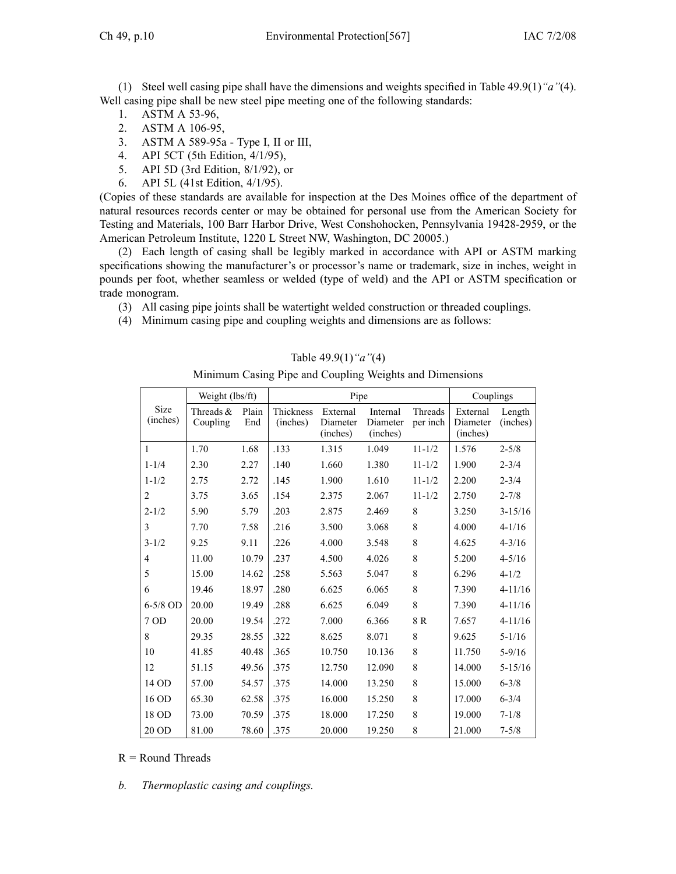(1) Steel well casing pipe shall have the dimensions and weights specified in Table 49.9(1)*"a"*(4). Well casing pipe shall be new steel pipe meeting one of the following standards:

- 1. ASTM A 53-96,
- 2. ASTM A 106-95,
- 3. ASTM A 589-95a Type I, II or III,
- 4. API 5CT (5th Edition, 4/1/95),
- 5. API 5D (3rd Edition, 8/1/92), or
- 6. API 5L (41st Edition, 4/1/95).

(Copies of these standards are available for inspection at the Des Moines office of the department of natural resources records center or may be obtained for personal use from the American Society for Testing and Materials, 100 Barr Harbor Drive, West Conshohocken, Pennsylvania 19428-2959, or the American Petroleum Institute, 1220 L Street NW, Washington, DC 20005.)

(2) Each length of casing shall be legibly marked in accordance with API or ASTM marking specifications showing the manufacturer's or processor's name or trademark, size in inches, weight in pounds per foot, whether seamless or welded (type of weld) and the API or ASTM specification or trade monogram.

- (3) All casing pipe joints shall be watertight welded construction or threaded couplings.
- (4) Minimum casing pipe and coupling weights and dimensions are as follows:

| Weight (lbs/ft)<br>Couplings |             |       |                                                      |          |          |             |          |             |
|------------------------------|-------------|-------|------------------------------------------------------|----------|----------|-------------|----------|-------------|
| <b>Size</b>                  | Threads $&$ | Plain | Pipe<br>Thickness<br>Internal<br>Threads<br>External |          |          |             | External | Length      |
| (inches)                     | Coupling    | End   | (inches)                                             | Diameter | Diameter | per inch    | Diameter | (inches)    |
|                              |             |       |                                                      | (inches) | (inches) |             | (inches) |             |
| $\mathbf{1}$                 | 1.70        | 1.68  | .133                                                 | 1.315    | 1.049    | $11 - 1/2$  | 1.576    | $2 - 5/8$   |
| $1 - 1/4$                    | 2.30        | 2.27  | .140                                                 | 1.660    | 1.380    | $11 - 1/2$  | 1.900    | $2 - 3/4$   |
| $1 - 1/2$                    | 2.75        | 2.72  | .145                                                 | 1.900    | 1.610    | $11 - 1/2$  | 2.200    | $2 - 3/4$   |
| 2                            | 3.75        | 3.65  | .154                                                 | 2.375    | 2.067    | $11 - 1/2$  | 2.750    | $2 - 7/8$   |
| $2 - 1/2$                    | 5.90        | 5.79  | .203                                                 | 2.875    | 2.469    | 8           | 3.250    | $3 - 15/16$ |
| 3                            | 7.70        | 7.58  | .216                                                 | 3.500    | 3.068    | 8           | 4.000    | $4 - 1/16$  |
| $3 - 1/2$                    | 9.25        | 9.11  | .226                                                 | 4.000    | 3.548    | $\,8\,$     | 4.625    | $4 - 3/16$  |
| $\overline{4}$               | 11.00       | 10.79 | .237                                                 | 4.500    | 4.026    | $\,8\,$     | 5.200    | $4 - 5/16$  |
| 5                            | 15.00       | 14.62 | .258                                                 | 5.563    | 5.047    | 8           | 6.296    | $4 - 1/2$   |
| 6                            | 19.46       | 18.97 | .280                                                 | 6.625    | 6.065    | 8           | 7.390    | $4 - 11/16$ |
| $6-5/8$ OD                   | 20.00       | 19.49 | .288                                                 | 6.625    | 6.049    | 8           | 7.390    | $4 - 11/16$ |
| 7 OD                         | 20.00       | 19.54 | .272                                                 | 7.000    | 6.366    | 8 R         | 7.657    | $4 - 11/16$ |
| 8                            | 29.35       | 28.55 | .322                                                 | 8.625    | 8.071    | 8           | 9.625    | $5 - 1/16$  |
| 10                           | 41.85       | 40.48 | .365                                                 | 10.750   | 10.136   | 8           | 11.750   | $5 - 9/16$  |
| 12                           | 51.15       | 49.56 | .375                                                 | 12.750   | 12.090   | $\,$ 8 $\,$ | 14.000   | $5 - 15/16$ |
| 14 OD                        | 57.00       | 54.57 | .375                                                 | 14.000   | 13.250   | 8           | 15.000   | $6 - 3/8$   |
| 16 OD                        | 65.30       | 62.58 | .375                                                 | 16.000   | 15.250   | 8           | 17.000   | $6 - 3/4$   |
| 18 OD                        | 73.00       | 70.59 | .375                                                 | 18.000   | 17.250   | 8           | 19.000   | $7 - 1/8$   |
| 20 OD                        | 81.00       | 78.60 | .375                                                 | 20.000   | 19.250   | 8           | 21.000   | $7 - 5/8$   |

Table 49.9(1)*"a"*(4)

Minimum Casing Pipe and Coupling Weights and Dimensions

 $R =$  Round Threads

*b. Thermoplastic casing and couplings.*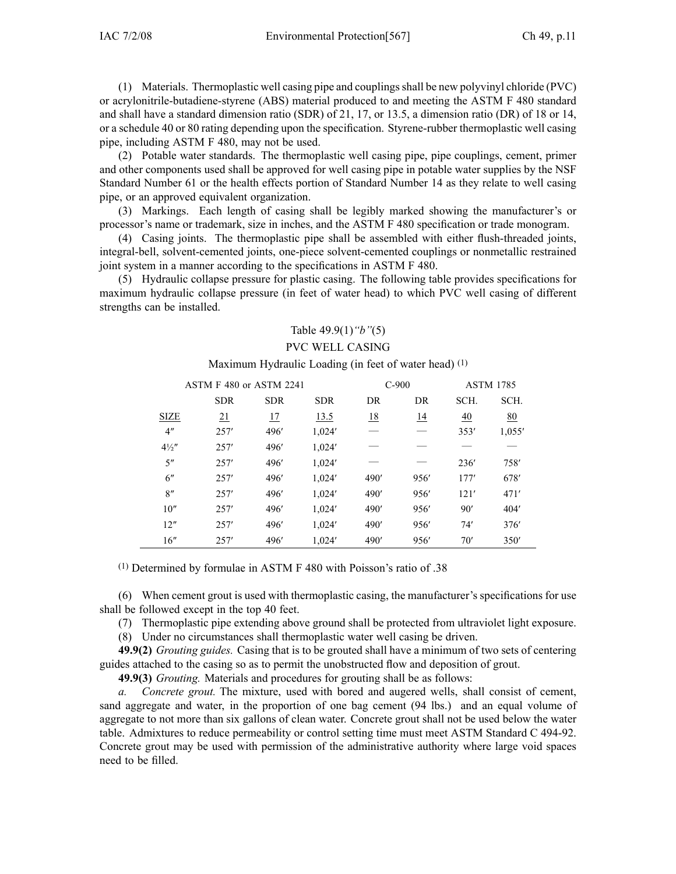(1) Materials. Thermoplastic well casing pipe and couplingsshall be new polyvinyl chloride (PVC) or acrylonitrile-butadiene-styrene (ABS) material produced to and meeting the ASTM F 480 standard and shall have <sup>a</sup> standard dimension ratio (SDR) of 21, 17, or 13.5, <sup>a</sup> dimension ratio (DR) of 18 or 14, or <sup>a</sup> schedule 40 or 80 rating depending upon the specification. Styrene-rubber thermoplastic well casing pipe, including ASTM F 480, may not be used.

(2) Potable water standards. The thermoplastic well casing pipe, pipe couplings, cement, primer and other components used shall be approved for well casing pipe in potable water supplies by the NSF Standard Number 61 or the health effects portion of Standard Number 14 as they relate to well casing pipe, or an approved equivalent organization.

(3) Markings. Each length of casing shall be legibly marked showing the manufacturer's or processor's name or trademark, size in inches, and the ASTM F 480 specification or trade monogram.

(4) Casing joints. The thermoplastic pipe shall be assembled with either flush-threaded joints, integral-bell, solvent-cemented joints, one-piece solvent-cemented couplings or nonmetallic restrained joint system in <sup>a</sup> manner according to the specifications in ASTM F 480.

(5) Hydraulic collapse pressure for plastic casing. The following table provides specifications for maximum hydraulic collapse pressure (in feet of water head) to which PVC well casing of different strengths can be installed.

# Table 49.9(1)*"b"*(5) PVC WELL CASING

Maximum Hydraulic Loading (in feet of water head) (1)

|                  | ASTM F 480 or ASTM 2241 |            |            |           | $C-900$   |      | <b>ASTM 1785</b> |  |
|------------------|-------------------------|------------|------------|-----------|-----------|------|------------------|--|
|                  | <b>SDR</b>              | <b>SDR</b> | <b>SDR</b> | DR        | DR        | SCH. | SCH.             |  |
| <b>SIZE</b>      | $\overline{21}$         | 17         | 13.5       | <u>18</u> | <u>14</u> | 40   | 80               |  |
| 4"               | 257'                    | 496'       | 1,024'     |           |           | 353' | 1,055'           |  |
| $4\frac{1}{2}$ " | 257'                    | 496'       | 1,024'     |           |           |      |                  |  |
| 5"               | 257'                    | 496'       | 1,024'     |           |           | 236' | 758'             |  |
| 6"               | 257'                    | 496'       | 1,024'     | 490'      | 956'      | 177' | 678'             |  |
| 8"               | 257'                    | 496'       | 1,024'     | 490'      | 956'      | 121' | 471'             |  |
| 10''             | 257'                    | 496'       | 1,024'     | 490'      | 956'      | 90'  | 404'             |  |
| 12"              | 257'                    | 496'       | 1,024'     | 490'      | 956'      | 74'  | 376'             |  |
| 16''             | 257'                    | 496'       | 1,024'     | 490'      | 956'      | 70'  | 350'             |  |

(1) Determined by formulae in ASTM <sup>F</sup> 480 with Poisson's ratio of .38

(6) When cement grou<sup>t</sup> is used with thermoplastic casing, the manufacturer's specifications for use shall be followed excep<sup>t</sup> in the top 40 feet.

(7) Thermoplastic pipe extending above ground shall be protected from ultraviolet light exposure.

(8) Under no circumstances shall thermoplastic water well casing be driven.

**49.9(2)** *Grouting guides.* Casing that is to be grouted shall have <sup>a</sup> minimum of two sets of centering guides attached to the casing so as to permit the unobstructed flow and deposition of grout.

**49.9(3)** *Grouting.* Materials and procedures for grouting shall be as follows:

*a. Concrete grout.* The mixture, used with bored and augered wells, shall consist of cement, sand aggregate and water, in the proportion of one bag cement (94 lbs.) and an equal volume of aggregate to not more than six gallons of clean water. Concrete grou<sup>t</sup> shall not be used below the water table. Admixtures to reduce permeability or control setting time must meet ASTM Standard C 494-92. Concrete grou<sup>t</sup> may be used with permission of the administrative authority where large void spaces need to be filled.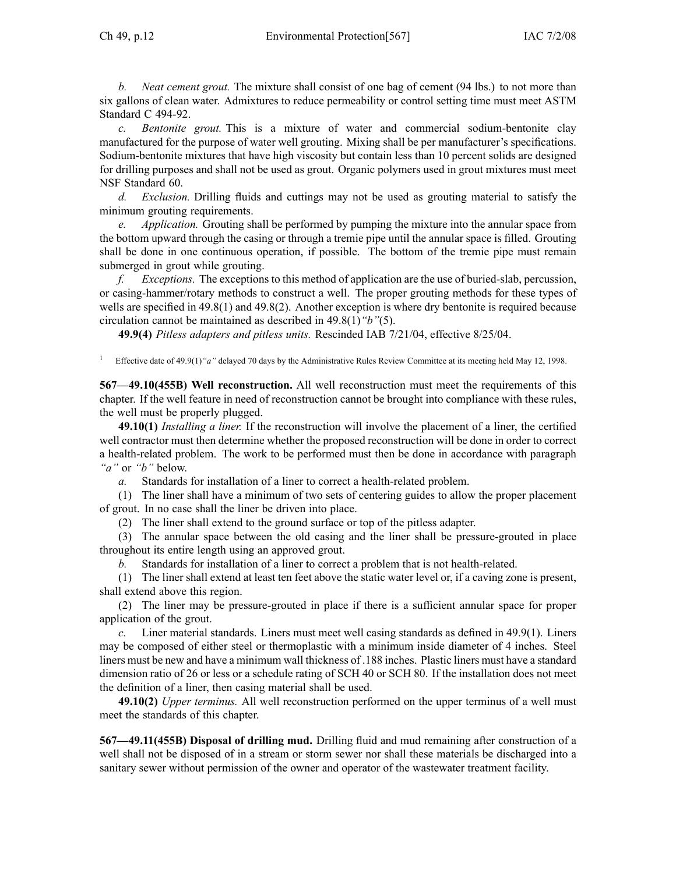*b. Neat cement grout.* The mixture shall consist of one bag of cement (94 lbs.) to not more than six gallons of clean water. Admixtures to reduce permeability or control setting time must meet ASTM Standard C 494-92.

*c. Bentonite grout.* This is <sup>a</sup> mixture of water and commercial sodium-bentonite clay manufactured for the purpose of water well grouting. Mixing shall be per manufacturer's specifications. Sodium-bentonite mixtures that have high viscosity but contain less than 10 percen<sup>t</sup> solids are designed for drilling purposes and shall not be used as grout. Organic polymers used in grou<sup>t</sup> mixtures must meet NSF Standard 60.

*d. Exclusion.* Drilling fluids and cuttings may not be used as grouting material to satisfy the minimum grouting requirements.

*e. Application.* Grouting shall be performed by pumping the mixture into the annular space from the bottom upward through the casing or through <sup>a</sup> tremie pipe until the annular space is filled. Grouting shall be done in one continuous operation, if possible. The bottom of the tremie pipe must remain submerged in grou<sup>t</sup> while grouting.

*f. Exceptions.* The exceptions to this method of application are the use of buried-slab, percussion, or casing-hammer/rotary methods to construct <sup>a</sup> well. The proper grouting methods for these types of wells are specified in 49.8(1) and 49.8(2). Another exception is where dry bentonite is required because circulation cannot be maintained as described in 49.8(1)*"b"*(5).

**49.9(4)** *Pitless adapters and pitless units.* Rescinded IAB 7/21/04, effective 8/25/04.

1 Effective date of 49.9(1) "a" delayed 70 days by the Administrative Rules Review Committee at its meeting held May 12, 1998.

**567—49.10(455B) Well reconstruction.** All well reconstruction must meet the requirements of this chapter. If the well feature in need of reconstruction cannot be brought into compliance with these rules, the well must be properly plugged.

**49.10(1)** *Installing <sup>a</sup> liner.* If the reconstruction will involve the placement of <sup>a</sup> liner, the certified well contractor must then determine whether the proposed reconstruction will be done in order to correct <sup>a</sup> health-related problem. The work to be performed must then be done in accordance with paragraph *"a"* or *"b"* below.

*a.* Standards for installation of <sup>a</sup> liner to correct <sup>a</sup> health-related problem.

(1) The liner shall have <sup>a</sup> minimum of two sets of centering guides to allow the proper placement of grout. In no case shall the liner be driven into place.

(2) The liner shall extend to the ground surface or top of the pitless adapter.

(3) The annular space between the old casing and the liner shall be pressure-grouted in place throughout its entire length using an approved grout.

*b.* Standards for installation of <sup>a</sup> liner to correct <sup>a</sup> problem that is not health-related.

(1) The liner shall extend at least ten feet above the static water level or, if <sup>a</sup> caving zone is present, shall extend above this region.

(2) The liner may be pressure-grouted in place if there is <sup>a</sup> sufficient annular space for proper application of the grout.

*c.* Liner material standards. Liners must meet well casing standards as defined in 49.9(1). Liners may be composed of either steel or thermoplastic with <sup>a</sup> minimum inside diameter of 4 inches. Steel liners must be new and have <sup>a</sup> minimum wall thickness of .188 inches. Plastic liners must have <sup>a</sup> standard dimension ratio of 26 or less or <sup>a</sup> schedule rating of SCH 40 or SCH 80. If the installation does not meet the definition of <sup>a</sup> liner, then casing material shall be used.

**49.10(2)** *Upper terminus.* All well reconstruction performed on the upper terminus of <sup>a</sup> well must meet the standards of this chapter.

**567—49.11(455B) Disposal of drilling mud.** Drilling fluid and mud remaining after construction of <sup>a</sup> well shall not be disposed of in <sup>a</sup> stream or storm sewer nor shall these materials be discharged into <sup>a</sup> sanitary sewer without permission of the owner and operator of the wastewater treatment facility.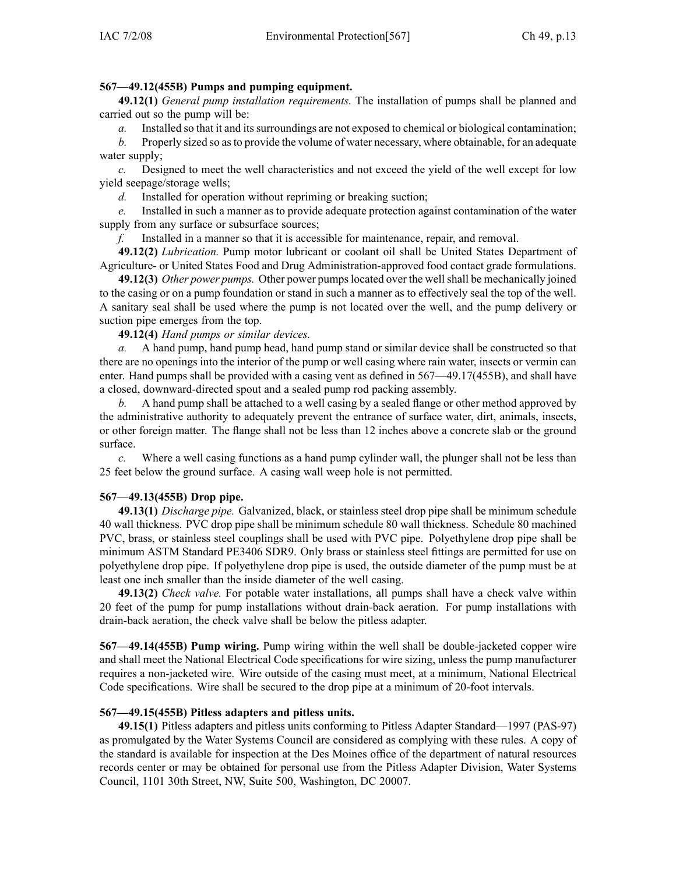### **567—49.12(455B) Pumps and pumping equipment.**

**49.12(1)** *General pump installation requirements.* The installation of pumps shall be planned and carried out so the pump will be:

*a.* Installed so that it and its surroundings are not exposed to chemical or biological contamination;

*b.* Properly sized so asto provide the volume of water necessary, where obtainable, for an adequate water supply;

*c.* Designed to meet the well characteristics and not exceed the yield of the well excep<sup>t</sup> for low yield seepage/storage wells;

*d.* Installed for operation without repriming or breaking suction;

*e.* Installed in such <sup>a</sup> manner as to provide adequate protection against contamination of the water supply from any surface or subsurface sources;

*f.* Installed in <sup>a</sup> manner so that it is accessible for maintenance, repair, and removal.

**49.12(2)** *Lubrication.* Pump motor lubricant or coolant oil shall be United States Department of Agriculture- or United States Food and Drug Administration-approved food contact grade formulations.

**49.12(3)** *Other power pumps.* Other power pumpslocated over the wellshall be mechanically joined to the casing or on <sup>a</sup> pump foundation or stand in such <sup>a</sup> manner as to effectively seal the top of the well. A sanitary seal shall be used where the pump is not located over the well, and the pump delivery or suction pipe emerges from the top.

**49.12(4)** *Hand pumps or similar devices.*

*a.* A hand pump, hand pump head, hand pump stand or similar device shall be constructed so that there are no openings into the interior of the pump or well casing where rain water, insects or vermin can enter. Hand pumps shall be provided with <sup>a</sup> casing vent as defined in 567—49.17(455B), and shall have <sup>a</sup> closed, downward-directed spou<sup>t</sup> and <sup>a</sup> sealed pump rod packing assembly.

*b.* A hand pump shall be attached to <sup>a</sup> well casing by <sup>a</sup> sealed flange or other method approved by the administrative authority to adequately preven<sup>t</sup> the entrance of surface water, dirt, animals, insects, or other foreign matter. The flange shall not be less than 12 inches above <sup>a</sup> concrete slab or the ground surface.

*c.* Where <sup>a</sup> well casing functions as <sup>a</sup> hand pump cylinder wall, the plunger shall not be less than 25 feet below the ground surface. A casing wall weep hole is not permitted.

## **567—49.13(455B) Drop pipe.**

**49.13(1)** *Discharge pipe.* Galvanized, black, or stainless steel drop pipe shall be minimum schedule 40 wall thickness. PVC drop pipe shall be minimum schedule 80 wall thickness. Schedule 80 machined PVC, brass, or stainless steel couplings shall be used with PVC pipe. Polyethylene drop pipe shall be minimum ASTM Standard PE3406 SDR9. Only brass or stainless steel fittings are permitted for use on polyethylene drop pipe. If polyethylene drop pipe is used, the outside diameter of the pump must be at least one inch smaller than the inside diameter of the well casing.

**49.13(2)** *Check valve.* For potable water installations, all pumps shall have <sup>a</sup> check valve within 20 feet of the pump for pump installations without drain-back aeration. For pump installations with drain-back aeration, the check valve shall be below the pitless adapter.

**567—49.14(455B) Pump wiring.** Pump wiring within the well shall be double-jacketed copper wire and shall meet the National Electrical Code specifications for wire sizing, unless the pump manufacturer requires <sup>a</sup> non-jacketed wire. Wire outside of the casing must meet, at <sup>a</sup> minimum, National Electrical Code specifications. Wire shall be secured to the drop pipe at <sup>a</sup> minimum of 20-foot intervals.

## **567—49.15(455B) Pitless adapters and pitless units.**

**49.15(1)** Pitless adapters and pitless units conforming to Pitless Adapter Standard—1997 (PAS-97) as promulgated by the Water Systems Council are considered as complying with these rules. A copy of the standard is available for inspection at the Des Moines office of the department of natural resources records center or may be obtained for personal use from the Pitless Adapter Division, Water Systems Council, 1101 30th Street, NW, Suite 500, Washington, DC 20007.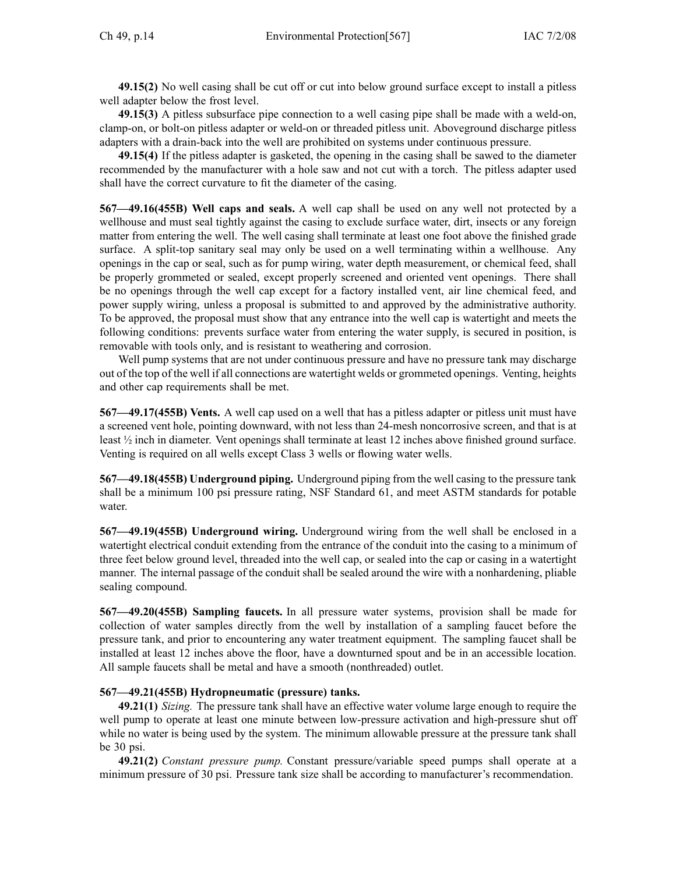**49.15(2)** No well casing shall be cut off or cut into below ground surface excep<sup>t</sup> to install <sup>a</sup> pitless well adapter below the frost level.

**49.15(3)** A pitless subsurface pipe connection to <sup>a</sup> well casing pipe shall be made with <sup>a</sup> weld-on, clamp-on, or bolt-on pitless adapter or weld-on or threaded pitless unit. Aboveground discharge pitless adapters with <sup>a</sup> drain-back into the well are prohibited on systems under continuous pressure.

**49.15(4)** If the pitless adapter is gasketed, the opening in the casing shall be sawed to the diameter recommended by the manufacturer with <sup>a</sup> hole saw and not cut with <sup>a</sup> torch. The pitless adapter used shall have the correct curvature to fit the diameter of the casing.

**567—49.16(455B) Well caps and seals.** A well cap shall be used on any well not protected by <sup>a</sup> wellhouse and must seal tightly against the casing to exclude surface water, dirt, insects or any foreign matter from entering the well. The well casing shall terminate at least one foot above the finished grade surface. A split-top sanitary seal may only be used on <sup>a</sup> well terminating within <sup>a</sup> wellhouse. Any openings in the cap or seal, such as for pump wiring, water depth measurement, or chemical feed, shall be properly grommeted or sealed, excep<sup>t</sup> properly screened and oriented vent openings. There shall be no openings through the well cap excep<sup>t</sup> for <sup>a</sup> factory installed vent, air line chemical feed, and power supply wiring, unless <sup>a</sup> proposal is submitted to and approved by the administrative authority. To be approved, the proposal must show that any entrance into the well cap is watertight and meets the following conditions: prevents surface water from entering the water supply, is secured in position, is removable with tools only, and is resistant to weathering and corrosion.

Well pump systems that are not under continuous pressure and have no pressure tank may discharge out of the top of the well if all connections are watertight welds or grommeted openings. Venting, heights and other cap requirements shall be met.

**567—49.17(455B) Vents.** A well cap used on <sup>a</sup> well that has <sup>a</sup> pitless adapter or pitless unit must have <sup>a</sup> screened vent hole, pointing downward, with not less than 24-mesh noncorrosive screen, and that is at least  $\frac{1}{2}$  inch in diameter. Vent openings shall terminate at least 12 inches above finished ground surface. Venting is required on all wells excep<sup>t</sup> Class 3 wells or flowing water wells.

**567—49.18(455B) Underground piping.** Underground piping from the well casing to the pressure tank shall be <sup>a</sup> minimum 100 psi pressure rating, NSF Standard 61, and meet ASTM standards for potable water.

**567—49.19(455B) Underground wiring.** Underground wiring from the well shall be enclosed in <sup>a</sup> watertight electrical conduit extending from the entrance of the conduit into the casing to <sup>a</sup> minimum of three feet below ground level, threaded into the well cap, or sealed into the cap or casing in <sup>a</sup> watertight manner. The internal passage of the conduit shall be sealed around the wire with <sup>a</sup> nonhardening, pliable sealing compound.

**567—49.20(455B) Sampling faucets.** In all pressure water systems, provision shall be made for collection of water samples directly from the well by installation of <sup>a</sup> sampling faucet before the pressure tank, and prior to encountering any water treatment equipment. The sampling faucet shall be installed at least 12 inches above the floor, have <sup>a</sup> downturned spou<sup>t</sup> and be in an accessible location. All sample faucets shall be metal and have <sup>a</sup> smooth (nonthreaded) outlet.

#### **567—49.21(455B) Hydropneumatic (pressure) tanks.**

**49.21(1)** *Sizing.* The pressure tank shall have an effective water volume large enough to require the well pump to operate at least one minute between low-pressure activation and high-pressure shut off while no water is being used by the system. The minimum allowable pressure at the pressure tank shall be 30 psi.

**49.21(2)** *Constant pressure pump.* Constant pressure/variable speed pumps shall operate at <sup>a</sup> minimum pressure of 30 psi. Pressure tank size shall be according to manufacturer's recommendation.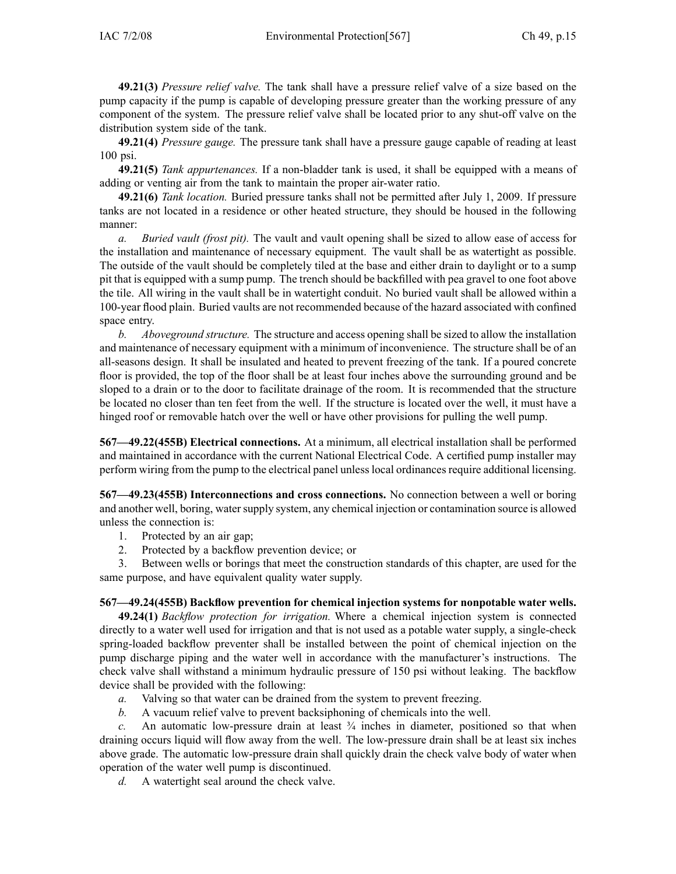**49.21(3)** *Pressure relief valve.* The tank shall have <sup>a</sup> pressure relief valve of <sup>a</sup> size based on the pump capacity if the pump is capable of developing pressure greater than the working pressure of any componen<sup>t</sup> of the system. The pressure relief valve shall be located prior to any shut-off valve on the distribution system side of the tank.

**49.21(4)** *Pressure gauge.* The pressure tank shall have <sup>a</sup> pressure gauge capable of reading at least 100 psi.

**49.21(5)** *Tank appurtenances.* If <sup>a</sup> non-bladder tank is used, it shall be equipped with <sup>a</sup> means of adding or venting air from the tank to maintain the proper air-water ratio.

**49.21(6)** *Tank location.* Buried pressure tanks shall not be permitted after July 1, 2009. If pressure tanks are not located in <sup>a</sup> residence or other heated structure, they should be housed in the following manner:

*a. Buried vault (frost pit).* The vault and vault opening shall be sized to allow ease of access for the installation and maintenance of necessary equipment. The vault shall be as watertight as possible. The outside of the vault should be completely tiled at the base and either drain to daylight or to <sup>a</sup> sump pit that is equipped with <sup>a</sup> sump pump. The trench should be backfilled with pea gravel to one foot above the tile. All wiring in the vault shall be in watertight conduit. No buried vault shall be allowed within <sup>a</sup> 100-year flood plain. Buried vaults are not recommended because of the hazard associated with confined space entry.

*b. Aboveground structure.* The structure and access opening shall be sized to allow the installation and maintenance of necessary equipment with <sup>a</sup> minimum of inconvenience. The structure shall be of an all-seasons design. It shall be insulated and heated to preven<sup>t</sup> freezing of the tank. If <sup>a</sup> poured concrete floor is provided, the top of the floor shall be at least four inches above the surrounding ground and be sloped to <sup>a</sup> drain or to the door to facilitate drainage of the room. It is recommended that the structure be located no closer than ten feet from the well. If the structure is located over the well, it must have <sup>a</sup> hinged roof or removable hatch over the well or have other provisions for pulling the well pump.

**567—49.22(455B) Electrical connections.** At <sup>a</sup> minimum, all electrical installation shall be performed and maintained in accordance with the current National Electrical Code. A certified pump installer may perform wiring from the pump to the electrical panel unlesslocal ordinancesrequire additional licensing.

**567—49.23(455B) Interconnections and cross connections.** No connection between <sup>a</sup> well or boring and another well, boring, watersupply system, any chemical injection or contamination source is allowed unless the connection is:

- 1. Protected by an air gap;
- 2. Protected by <sup>a</sup> backflow prevention device; or

3. Between wells or borings that meet the construction standards of this chapter, are used for the same purpose, and have equivalent quality water supply.

## **567—49.24(455B) Backflow prevention for chemical injection systems for nonpotable water wells.**

**49.24(1)** *Backflow protection for irrigation.* Where <sup>a</sup> chemical injection system is connected directly to <sup>a</sup> water well used for irrigation and that is not used as <sup>a</sup> potable water supply, <sup>a</sup> single-check spring-loaded backflow preventer shall be installed between the point of chemical injection on the pump discharge piping and the water well in accordance with the manufacturer's instructions. The check valve shall withstand <sup>a</sup> minimum hydraulic pressure of 150 psi without leaking. The backflow device shall be provided with the following:

- *a.* Valving so that water can be drained from the system to preven<sup>t</sup> freezing.
- *b.* A vacuum relief valve to preven<sup>t</sup> backsiphoning of chemicals into the well.

*c.* An automatic low-pressure drain at least  $\frac{3}{4}$  inches in diameter, positioned so that when draining occurs liquid will flow away from the well. The low-pressure drain shall be at least six inches above grade. The automatic low-pressure drain shall quickly drain the check valve body of water when operation of the water well pump is discontinued.

*d.* A watertight seal around the check valve.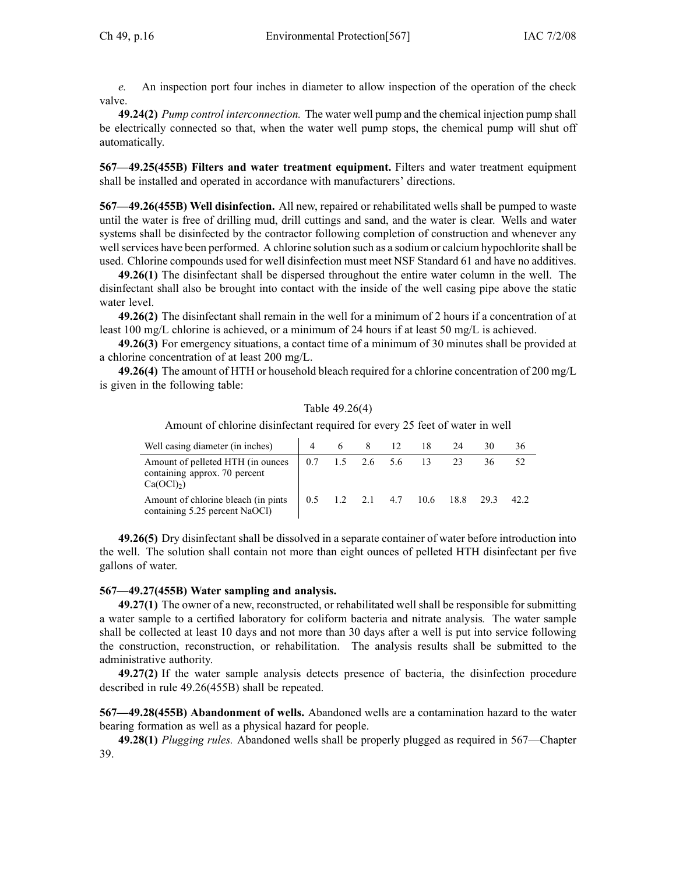*e.* An inspection por<sup>t</sup> four inches in diameter to allow inspection of the operation of the check valve.

**49.24(2)** *Pump control interconnection.* The water well pump and the chemical injection pump shall be electrically connected so that, when the water well pump stops, the chemical pump will shut off automatically.

**567—49.25(455B) Filters and water treatment equipment.** Filters and water treatment equipment shall be installed and operated in accordance with manufacturers' directions.

**567—49.26(455B) Well disinfection.** All new, repaired or rehabilitated wells shall be pumped to waste until the water is free of drilling mud, drill cuttings and sand, and the water is clear. Wells and water systems shall be disinfected by the contractor following completion of construction and whenever any wellservices have been performed. A chlorine solution such as <sup>a</sup> sodium or calcium hypochlorite shall be used. Chlorine compounds used for well disinfection must meet NSF Standard 61 and have no additives.

**49.26(1)** The disinfectant shall be dispersed throughout the entire water column in the well. The disinfectant shall also be brought into contact with the inside of the well casing pipe above the static water level.

**49.26(2)** The disinfectant shall remain in the well for <sup>a</sup> minimum of 2 hours if <sup>a</sup> concentration of at least 100 mg/L chlorine is achieved, or <sup>a</sup> minimum of 24 hours if at least 50 mg/L is achieved.

**49.26(3)** For emergency situations, <sup>a</sup> contact time of <sup>a</sup> minimum of 30 minutes shall be provided at <sup>a</sup> chlorine concentration of at least 200 mg/L.

**49.26(4)** The amount of HTH or household bleach required for <sup>a</sup> chlorine concentration of 200 mg/L is given in the following table:

#### Table 49.26(4)

Amount of chlorine disinfectant required for every 25 feet of water in well

| Well casing diameter (in inches)                                                             |     |     |         | 12                       | 24   |      | 36   |
|----------------------------------------------------------------------------------------------|-----|-----|---------|--------------------------|------|------|------|
| Amount of pelleted HTH (in ounces)<br>containing approx. 70 percent<br>Ca(OCl <sub>2</sub> ) | 0.7 | 1.5 | 2.6 5.6 |                          |      | 36.  |      |
| Amount of chlorine bleach (in pints)<br>containing 5.25 percent NaOCl)                       | 0.5 |     |         | $1.2$ $2.1$ $4.7$ $10.6$ | 18.8 | 29.3 | 42.2 |

**49.26(5)** Dry disinfectant shall be dissolved in <sup>a</sup> separate container of water before introduction into the well. The solution shall contain not more than eight ounces of pelleted HTH disinfectant per five gallons of water.

#### **567—49.27(455B) Water sampling and analysis.**

**49.27(1)** The owner of <sup>a</sup> new, reconstructed, or rehabilitated well shall be responsible for submitting <sup>a</sup> water sample to <sup>a</sup> certified laboratory for coliform bacteria and nitrate analysis*.* The water sample shall be collected at least 10 days and not more than 30 days after <sup>a</sup> well is pu<sup>t</sup> into service following the construction, reconstruction, or rehabilitation. The analysis results shall be submitted to the administrative authority.

**49.27(2)** If the water sample analysis detects presence of bacteria, the disinfection procedure described in rule 49.26(455B) shall be repeated.

**567—49.28(455B) Abandonment of wells.** Abandoned wells are <sup>a</sup> contamination hazard to the water bearing formation as well as <sup>a</sup> physical hazard for people.

**49.28(1)** *Plugging rules.* Abandoned wells shall be properly plugged as required in 567—Chapter 39.